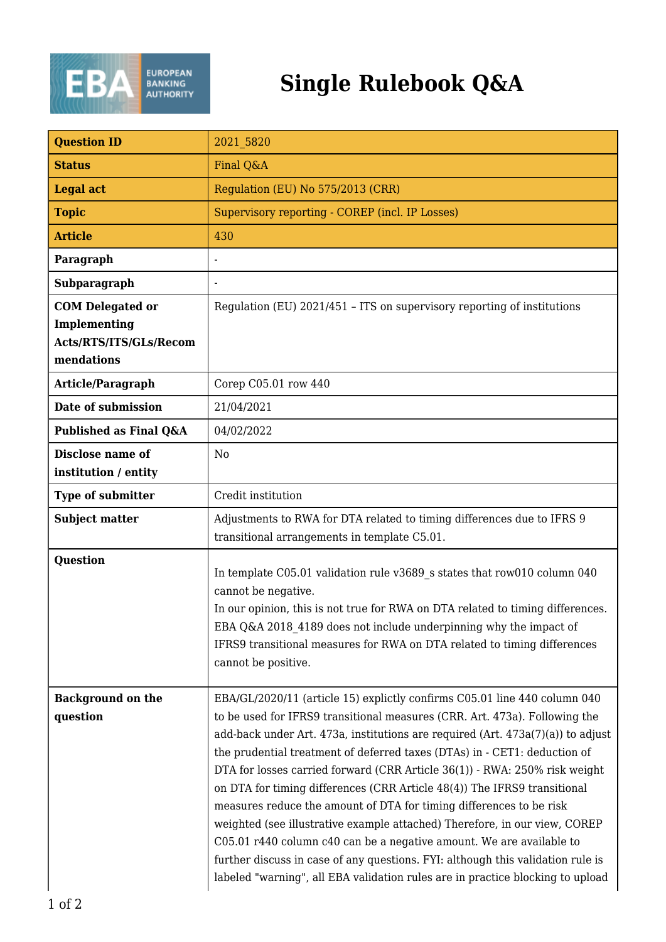

## **Single Rulebook Q&A**

| <b>Question ID</b>                                                              | 2021 5820                                                                                                                                                                                                                                                                                                                                                                                                                                                                                                                                                                                                                                                                                                                                                                                                                                                                           |
|---------------------------------------------------------------------------------|-------------------------------------------------------------------------------------------------------------------------------------------------------------------------------------------------------------------------------------------------------------------------------------------------------------------------------------------------------------------------------------------------------------------------------------------------------------------------------------------------------------------------------------------------------------------------------------------------------------------------------------------------------------------------------------------------------------------------------------------------------------------------------------------------------------------------------------------------------------------------------------|
| <b>Status</b>                                                                   | Final Q&A                                                                                                                                                                                                                                                                                                                                                                                                                                                                                                                                                                                                                                                                                                                                                                                                                                                                           |
| <b>Legal act</b>                                                                | Regulation (EU) No 575/2013 (CRR)                                                                                                                                                                                                                                                                                                                                                                                                                                                                                                                                                                                                                                                                                                                                                                                                                                                   |
| <b>Topic</b>                                                                    | Supervisory reporting - COREP (incl. IP Losses)                                                                                                                                                                                                                                                                                                                                                                                                                                                                                                                                                                                                                                                                                                                                                                                                                                     |
| <b>Article</b>                                                                  | 430                                                                                                                                                                                                                                                                                                                                                                                                                                                                                                                                                                                                                                                                                                                                                                                                                                                                                 |
| Paragraph                                                                       |                                                                                                                                                                                                                                                                                                                                                                                                                                                                                                                                                                                                                                                                                                                                                                                                                                                                                     |
| Subparagraph                                                                    | $\overline{a}$                                                                                                                                                                                                                                                                                                                                                                                                                                                                                                                                                                                                                                                                                                                                                                                                                                                                      |
| <b>COM</b> Delegated or<br>Implementing<br>Acts/RTS/ITS/GLs/Recom<br>mendations | Regulation (EU) 2021/451 - ITS on supervisory reporting of institutions                                                                                                                                                                                                                                                                                                                                                                                                                                                                                                                                                                                                                                                                                                                                                                                                             |
| <b>Article/Paragraph</b>                                                        | Corep C05.01 row 440                                                                                                                                                                                                                                                                                                                                                                                                                                                                                                                                                                                                                                                                                                                                                                                                                                                                |
| Date of submission                                                              | 21/04/2021                                                                                                                                                                                                                                                                                                                                                                                                                                                                                                                                                                                                                                                                                                                                                                                                                                                                          |
| Published as Final Q&A                                                          | 04/02/2022                                                                                                                                                                                                                                                                                                                                                                                                                                                                                                                                                                                                                                                                                                                                                                                                                                                                          |
| <b>Disclose name of</b><br>institution / entity                                 | N <sub>0</sub>                                                                                                                                                                                                                                                                                                                                                                                                                                                                                                                                                                                                                                                                                                                                                                                                                                                                      |
| <b>Type of submitter</b>                                                        | Credit institution                                                                                                                                                                                                                                                                                                                                                                                                                                                                                                                                                                                                                                                                                                                                                                                                                                                                  |
| <b>Subject matter</b>                                                           | Adjustments to RWA for DTA related to timing differences due to IFRS 9<br>transitional arrangements in template C5.01.                                                                                                                                                                                                                                                                                                                                                                                                                                                                                                                                                                                                                                                                                                                                                              |
| Question                                                                        | In template C05.01 validation rule v3689 s states that row010 column 040<br>cannot be negative.<br>In our opinion, this is not true for RWA on DTA related to timing differences.<br>EBA Q&A 2018 4189 does not include underpinning why the impact of<br>IFRS9 transitional measures for RWA on DTA related to timing differences<br>cannot be positive.                                                                                                                                                                                                                                                                                                                                                                                                                                                                                                                           |
| <b>Background on the</b><br>question                                            | EBA/GL/2020/11 (article 15) explictly confirms C05.01 line 440 column 040<br>to be used for IFRS9 transitional measures (CRR, Art. 473a). Following the<br>add-back under Art. 473a, institutions are required (Art. 473a(7)(a)) to adjust<br>the prudential treatment of deferred taxes (DTAs) in - CET1: deduction of<br>DTA for losses carried forward (CRR Article 36(1)) - RWA: 250% risk weight<br>on DTA for timing differences (CRR Article 48(4)) The IFRS9 transitional<br>measures reduce the amount of DTA for timing differences to be risk<br>weighted (see illustrative example attached) Therefore, in our view, COREP<br>C05.01 r440 column c40 can be a negative amount. We are available to<br>further discuss in case of any questions. FYI: although this validation rule is<br>labeled "warning", all EBA validation rules are in practice blocking to upload |